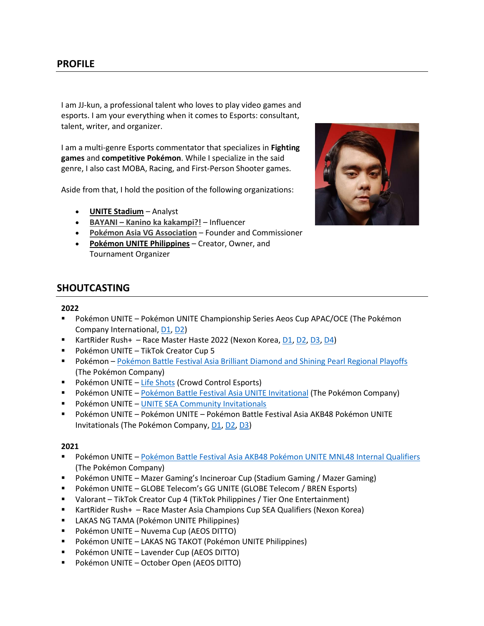I am JJ-kun, a professional talent who loves to play video games and esports. I am your everything when it comes to Esports: consultant, talent, writer, and organizer.

I am a multi-genre Esports commentator that specializes in **Fighting games** and **competitive Pokémon**. While I specialize in the said genre, I also cast MOBA, Racing, and First-Person Shooter games.

Aside from that, I hold the position of the following organizations:

- **UNITE Stadium** Analyst
- **BAYANI – [Kanino ka kakampi?!](https://www.facebook.com/bayaniph/)** Influencer
- **Pok***é***[mon Asia VG Association](https://liquipedia.net/pokemon/PAVGA)** Founder and Commissioner
- **Pokémon UNITE Philippines** Creator, Owner, and Tournament Organizer



## **SHOUTCASTING**

## **2022**

- Pokémon UNITE Pokémon UNITE Championship Series Aeos Cup APAC/OCE (The Pokémon Company International[, D1,](https://youtu.be/MGyiiALtGb8) [D2\)](https://youtu.be/anO93ZUn3SQ)
- KartRider Rush+ Race Master Haste 2022 (Nexon Korea, [D1,](https://www.facebook.com/KartRiderRushPlus/videos/1229325797603626/) [D2,](https://www.facebook.com/KartRiderRushPlus/videos/508680694083048/) [D3,](https://www.facebook.com/KartRiderRushPlus/videos/979799016240385/) [D4\)](https://www.facebook.com/KartRiderRushPlus/videos/329228169392617/)
- Pokémon UNITE TikTok Creator Cup 5
- Pokémon [Pokémon Battle Festival Asia Brilliant Diamond and Shining Pearl Regional Playoffs](https://www.youtube.com/watch?v=pDP4d9KgRRo&feature=youtu.be) (The Pokémon Company)
- Pokémon UNITE [Life Shots](https://youtu.be/RAMe5CCxyus) (Crowd Control Esports)
- Pokémon UNITE [Pokémon Battle Festival Asia UNITE Invitational](https://youtu.be/OVAp0El59YA) (The Pokémon Company)
- **Pokémon UNITE [UNITE SEA Community Invitationals](https://www.youtube.com/watch?v=cUzfi23qLo4)**
- Pokémon UNITE Pokémon UNITE Pokémon Battle Festival Asia AKB48 Pokémon UNITE Invitationals (The Pokémon Company[, D1,](https://youtu.be/3e7lov1QW84) [D2,](https://youtu.be/VqjaPEbv55I) [D3\)](https://youtu.be/wlb836Kxnyw)

## **2021**

- Pokémon UNITE [Pokémon Battle Festival Asia AKB48 Pokémon UNITE MNL48 Internal Qualifiers](https://youtu.be/yo9zZsxIZlg) (The Pokémon Company)
- Pokémon UNITE Mazer Gaming's Incineroar Cup (Stadium Gaming / Mazer Gaming)
- Pokémon UNITE GLOBE Telecom's GG UNITE (GLOBE Telecom / BREN Esports)
- Valorant TikTok Creator Cup 4 (TikTok Philippines / Tier One Entertainment)
- KartRider Rush+ Race Master Asia Champions Cup SEA Qualifiers (Nexon Korea)
- **E** LAKAS NG TAMA (Pokémon UNITE Philippines)
- Pokémon UNITE Nuvema Cup (AEOS DITTO)
- Pokémon UNITE LAKAS NG TAKOT (Pokémon UNITE Philippines)
- Pokémon UNITE Lavender Cup (AEOS DITTO)
- Pokémon UNITE October Open (AEOS DITTO)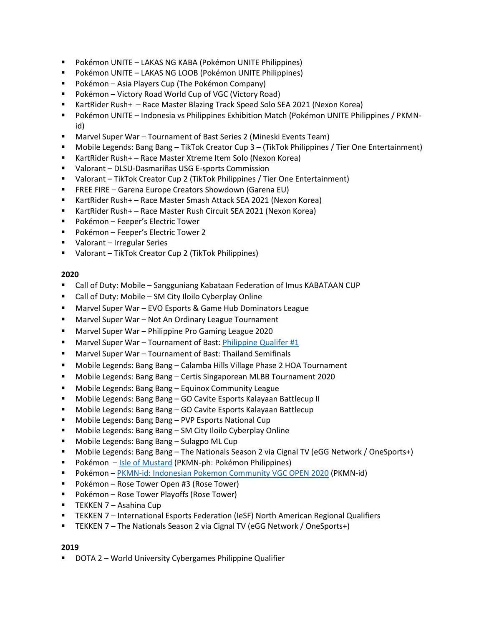- Pokémon UNITE LAKAS NG KABA (Pokémon UNITE Philippines)
- Pokémon UNITE LAKAS NG LOOB (Pokémon UNITE Philippines)
- Pokémon Asia Players Cup (The Pokémon Company)
- Pokémon Victory Road World Cup of VGC (Victory Road)
- KartRider Rush+ Race Master Blazing Track Speed Solo SEA 2021 (Nexon Korea)
- Pokémon UNITE Indonesia vs Philippines Exhibition Match (Pokémon UNITE Philippines / PKMNid)
- Marvel Super War Tournament of Bast Series 2 (Mineski Events Team)
- Mobile Legends: Bang Bang TikTok Creator Cup 3 (TikTok Philippines / Tier One Entertainment)
- KartRider Rush+ Race Master Xtreme Item Solo (Nexon Korea)
- Valorant DLSU-Dasmariñas USG E-sports Commission
- Valorant TikTok Creator Cup 2 (TikTok Philippines / Tier One Entertainment)
- FREE FIRE Garena Europe Creators Showdown (Garena EU)
- KartRider Rush+ Race Master Smash Attack SEA 2021 (Nexon Korea)
- KartRider Rush+ Race Master Rush Circuit SEA 2021 (Nexon Korea)
- Pokémon Feeper's Electric Tower
- Pokémon Feeper's Electric Tower 2
- Valorant Irregular Series
- Valorant TikTok Creator Cup 2 (TikTok Philippines)

- Call of Duty: Mobile Sangguniang Kabataan Federation of Imus KABATAAN CUP
- Call of Duty: Mobile SM City Iloilo Cyberplay Online
- Marvel Super War EVO Esports & Game Hub Dominators League
- Marvel Super War Not An Ordinary League Tournament
- Marvel Super War Philippine Pro Gaming League 2020
- Marvel Super War Tournament of Bast[: Philippine Qualifer #1](https://youtu.be/5NY12jfmXyQ)
- Marvel Super War Tournament of Bast: Thailand Semifinals
- Mobile Legends: Bang Bang Calamba Hills Village Phase 2 HOA Tournament
- Mobile Legends: Bang Bang Certis Singaporean MLBB Tournament 2020
- Mobile Legends: Bang Bang Equinox Community League
- Mobile Legends: Bang Bang GO Cavite Esports Kalayaan Battlecup II
- Mobile Legends: Bang Bang GO Cavite Esports Kalayaan Battlecup
- Mobile Legends: Bang Bang PVP Esports National Cup
- Mobile Legends: Bang Bang SM City Iloilo Cyberplay Online
- Mobile Legends: Bang Bang Sulagpo ML Cup
- Mobile Legends: Bang Bang The Nationals Season 2 via Cignal TV (eGG Network / OneSports+)
- Pokémon [Isle of Mustard](https://youtu.be/rxlaGFb3T0g) (PKMN-ph: Pokémon Philippines)
- Pokémon [PKMN-id: Indonesian Pokemon Community VGC OPEN 2020](https://youtu.be/hkC8rSt4vig) (PKMN-id)
- Pokémon Rose Tower Open #3 (Rose Tower)
- Pokémon Rose Tower Playoffs (Rose Tower)
- TEKKEN 7 Asahina Cup
- **■** TEKKEN 7 International Esports Federation (IeSF) North American Regional Qualifiers
- TEKKEN 7 The Nationals Season 2 via Cignal TV (eGG Network / OneSports+)

## **2019**

DOTA 2 – World University Cybergames Philippine Qualifier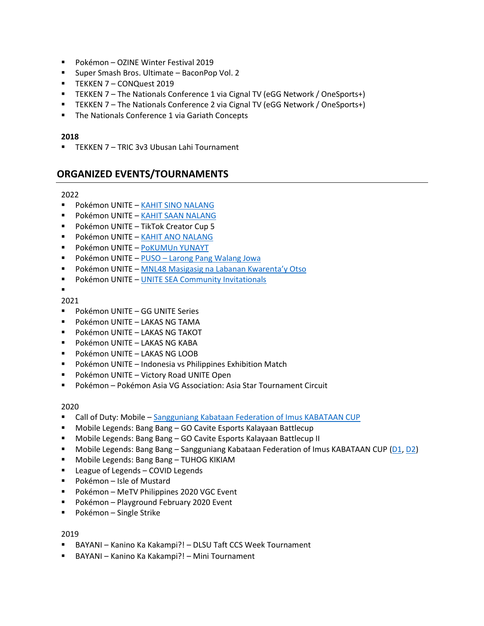- Pokémon OZINE Winter Festival 2019
- Super Smash Bros. Ultimate BaconPop Vol. 2
- **TEKKEN 7 CONQuest 2019**
- TEKKEN 7 The Nationals Conference 1 via Cignal TV (eGG Network / OneSports+)
- TEKKEN 7 The Nationals Conference 2 via Cignal TV (eGG Network / OneSports+)
- The Nationals Conference 1 via Gariath Concepts

▪ TEKKEN 7 – TRIC 3v3 Ubusan Lahi Tournament

## **ORGANIZED EVENTS/TOURNAMENTS**

### 2022

- **· Pokémon UNITE [KAHIT SINO](https://battlefy.com/pokemon-unite-philippines/kahit-sino-nalang/625de8a815accf7571ec3144/info?infoTab=details) NALANG**
- **· Pokémon UNITE [KAHIT SAAN NALANG](https://battlefy.com/pokemon-unite-philippines/kahit-saan-nalang/62382b4e411efc05b0e3717f/info?infoTab=details)**
- Pokémon UNITE TikTok Creator Cup 5
- **Pokémon UNITE [KAHIT ANO NALANG](https://battlefy.com/pokemon-unite-philippines/kahit-ano-nalang/621caa3f47b9e406d991786f/info?infoTab=details)**
- Pokémon UNITE [PoKUMUn YUNAYT](https://battlefy.com/pokemon-unite-philippines/pokumun-yunayt/6206b20407cee36aaf4d10b7/info?infoTab=details)
- Pokémon UNITE PUSO [Larong Pang Walang Jowa](https://battlefy.com/pokemon-unite-philippines/puso-larong-pang-walang-jowa/6205e8bdecc6c32452c542c9/info?infoTab=details)
- Pokémon UNITE [MNL48 Masigasig na Laba](https://battlefy.com/pokemon-unite-philippines/mnl48-masigasig-na-labanan-kwarentay-otso/61ee33439042e70d0cd64456/info?infoTab=details)nan Kwarenta'y Otso
- Pokémon UNITE [UNITE SEA Community Invitationals](https://battlefy.com/pkmn-id/pok%C3%A9mon-unite-sea-invitationals-spring-2022/61dd85e5e2af395b5347ba6c/info?infoTab=details)

# ▪

- 2021
- Pokémon UNITE GG UNITE Series
- Pokémon UNITE LAKAS NG TAMA
- Pokémon UNITE LAKAS NG TAKOT
- Pokémon UNITE LAKAS NG KABA
- Pokémon UNITE LAKAS NG LOOB
- Pokémon UNITE Indonesia vs Philippines Exhibition Match
- Pokémon UNITE Victory Road UNITE Open
- Pokémon Pokémon Asia VG Association: Asia Star Tournament Circuit

#### 2020

- **EXECT** Call of Duty: Mobile [Sangguniang Kabataan Federation of Imus KABATAAN CUP](https://www.facebook.com/SKFedImus2018/videos/840617943405729/)
- Mobile Legends: Bang Bang GO Cavite Esports Kalayaan Battlecup
- Mobile Legends: Bang Bang GO Cavite Esports Kalayaan Battlecup II
- Mobile Legends: Bang Bang Sangguniang Kabataan Federation of Imus KABATAAN CUP [\(D1,](https://www.facebook.com/SKFedImus2018/videos/350136719629948/) [D2\)](https://www.facebook.com/SKFedImus2018/videos/1046614849125007/)
- Mobile Legends: Bang Bang TUHOG KIKIAM
- League of Legends COVID Legends
- Pokémon Isle of Mustard
- Pokémon MeTV Philippines 2020 VGC Event
- Pokémon Playground February 2020 Event
- Pokémon Single Strike

## 2019

- BAYANI Kanino Ka Kakampi?! DLSU Taft CCS Week Tournament
- BAYANI Kanino Ka Kakampi?! Mini Tournament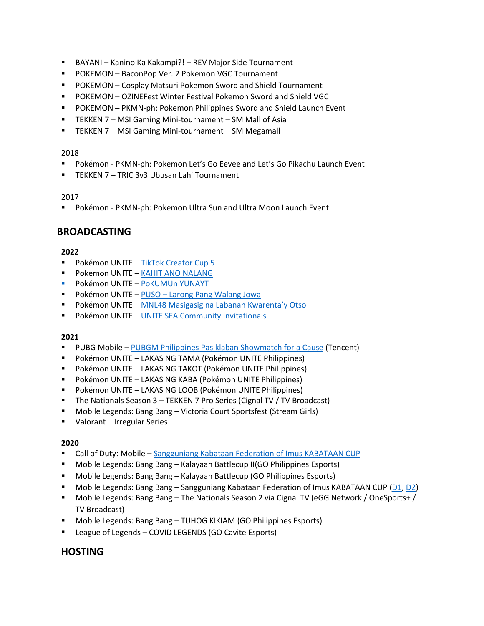- BAYANI Kanino Ka Kakampi?! REV Major Side Tournament
- POKEMON BaconPop Ver. 2 Pokemon VGC Tournament
- POKEMON Cosplay Matsuri Pokemon Sword and Shield Tournament
- POKEMON OZINEFest Winter Festival Pokemon Sword and Shield VGC
- POKEMON PKMN-ph: Pokemon Philippines Sword and Shield Launch Event
- TEKKEN 7 MSI Gaming Mini-tournament SM Mall of Asia
- TEKKEN 7 MSI Gaming Mini-tournament SM Megamall

- Pokémon PKMN-ph: Pokemon Let's Go Eevee and Let's Go Pikachu Launch Event
- TEKKEN 7 TRIC 3v3 Ubusan Lahi Tournament

### 2017

Pokémon - PKMN-ph: Pokemon Ultra Sun and Ultra Moon Launch Event

## **BROADCASTING**

## **2022**

- Pokémon UNITE [TikTok Creator Cup 5](https://www.youtube.com/watch?v=Fny05bHOoTI&list=PLj1Eu7w1M1AGy6Jlfoc47S0cieHY7EaqR)
- **Pokémon UNITE [KAHIT ANO NALANG](https://battlefy.com/pokemon-unite-philippines/kahit-ano-nalang/621caa3f47b9e406d991786f/info?infoTab=details)**
- Pokémon UNITE [PoKUMUn YUNAYT](https://youtu.be/2_STtQBB4JQ)
- Pokémon UNITE PUSO [Larong Pang Walang Jowa](https://battlefy.com/pokemon-unite-philippines/puso-larong-pang-walang-jowa/6205e8bdecc6c32452c542c9/info?infoTab=details)
- Pokémon UNITE [MNL48 Masigasig na Labanan Kwarenta'y Otso](https://battlefy.com/pokemon-unite-philippines/mnl48-masigasig-na-labanan-kwarentay-otso/61ee33439042e70d0cd64456/info?infoTab=details)
- Pokémon UNITE [UNITE SEA Community Invitationals](https://battlefy.com/pkmn-id/pok%C3%A9mon-unite-sea-invitationals-spring-2022/61dd85e5e2af395b5347ba6c/info?infoTab=details)

## **2021**

- **PUBG Mobile [PUBGM Philippines Pasiklaban Showmatch for a Cause](https://www.facebook.com/watch/live/?ref=watch_permalink&v=329527292325136) (Tencent)**
- Pokémon UNITE LAKAS NG TAMA (Pokémon UNITE Philippines)
- Pokémon UNITE LAKAS NG TAKOT (Pokémon UNITE Philippines)
- Pokémon UNITE LAKAS NG KABA (Pokémon UNITE Philippines)
- Pokémon UNITE LAKAS NG LOOB (Pokémon UNITE Philippines)
- The Nationals Season 3 TEKKEN 7 Pro Series (Cignal TV / TV Broadcast)
- Mobile Legends: Bang Bang Victoria Court Sportsfest (Stream Girls)
- Valorant Irregular Series

## **2020**

- Call of Duty: Mobile [Sangguniang Kabataan Federation of Imus KABATAAN CUP](https://www.facebook.com/SKFedImus2018/videos/840617943405729/)
- Mobile Legends: Bang Bang Kalayaan Battlecup II(GO Philippines Esports)
- Mobile Legends: Bang Bang Kalayaan Battlecup (GO Philippines Esports)
- Mobile Legends: Bang Bang Sangguniang Kabataan Federation of Imus KABATAAN CUP [\(D1,](https://www.facebook.com/SKFedImus2018/videos/350136719629948/) [D2\)](https://www.facebook.com/SKFedImus2018/videos/1046614849125007/)
- Mobile Legends: Bang Bang The Nationals Season 2 via Cignal TV (eGG Network / OneSports+ / TV Broadcast)
- Mobile Legends: Bang Bang TUHOG KIKIAM (GO Philippines Esports)
- League of Legends COVID LEGENDS (GO Cavite Esports)

## **HOSTING**